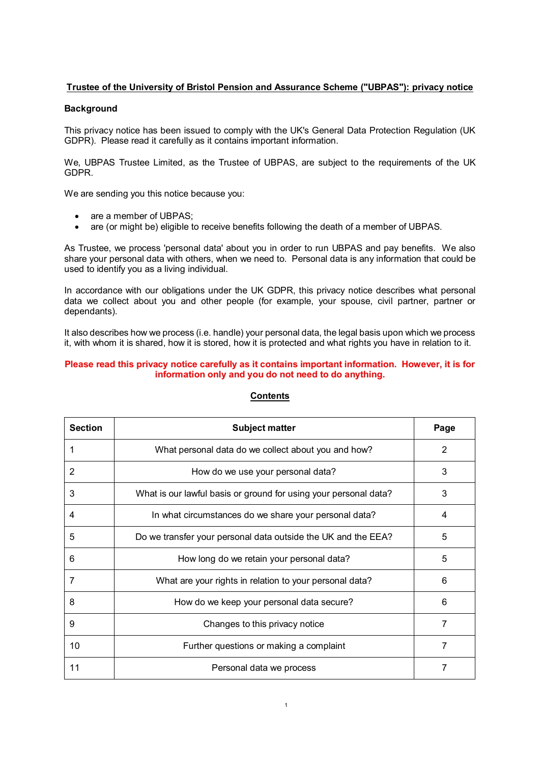# **Trustee of the University of Bristol Pension and Assurance Scheme ("UBPAS"): privacy notice**

#### **Background**

This privacy notice has been issued to comply with the UK's General Data Protection Regulation (UK GDPR). Please read it carefully as it contains important information.

We, UBPAS Trustee Limited, as the Trustee of UBPAS, are subject to the requirements of the UK GDPR.

We are sending you this notice because you:

- are a member of UBPAS;
- are (or might be) eligible to receive benefits following the death of a member of UBPAS.

As Trustee, we process 'personal data' about you in order to run UBPAS and pay benefits. We also share your personal data with others, when we need to. Personal data is any information that could be used to identify you as a living individual.

In accordance with our obligations under the UK GDPR, this privacy notice describes what personal data we collect about you and other people (for example, your spouse, civil partner, partner or dependants).

It also describes how we process (i.e. handle) your personal data, the legal basis upon which we process it, with whom it is shared, how it is stored, how it is protected and what rights you have in relation to it.

#### **Please read this privacy notice carefully as it contains important information. However, it is for information only and you do not need to do anything.**

| <b>Section</b> | <b>Subject matter</b>                                            | Page |
|----------------|------------------------------------------------------------------|------|
|                | What personal data do we collect about you and how?              | 2    |
| 2              | How do we use your personal data?                                | 3    |
| 3              | What is our lawful basis or ground for using your personal data? | 3    |
| 4              | In what circumstances do we share your personal data?            | 4    |
| 5              | Do we transfer your personal data outside the UK and the EEA?    | 5    |
| 6              | How long do we retain your personal data?                        | 5    |
| 7              | What are your rights in relation to your personal data?          | 6    |
| 8              | How do we keep your personal data secure?                        | 6    |
| 9              | Changes to this privacy notice                                   | 7    |
| 10             | Further questions or making a complaint                          | 7    |
| 11             | Personal data we process                                         | 7    |

## **Contents**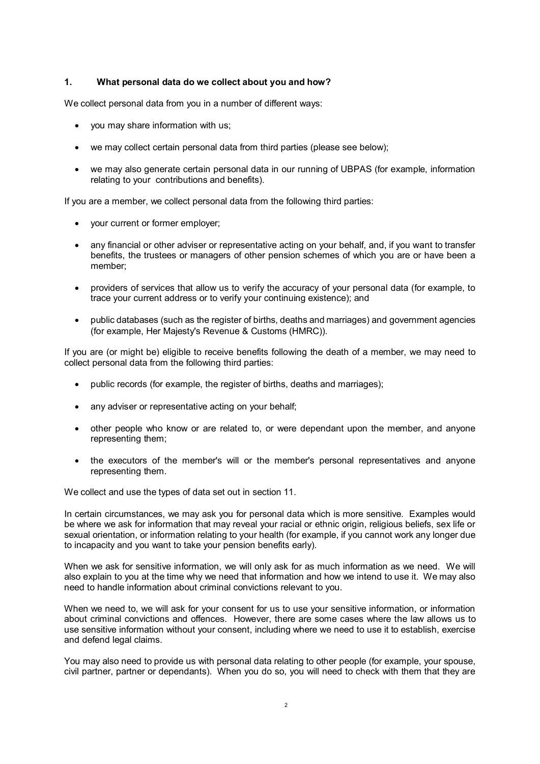### **1. What personal data do we collect about you and how?**

We collect personal data from you in a number of different ways:

- you may share information with us;
- we may collect certain personal data from third parties (please see below);
- we may also generate certain personal data in our running of UBPAS (for example, information relating to your contributions and benefits).

If you are a member, we collect personal data from the following third parties:

- your current or former employer;
- any financial or other adviser or representative acting on your behalf, and, if you want to transfer benefits, the trustees or managers of other pension schemes of which you are or have been a member;
- providers of services that allow us to verify the accuracy of your personal data (for example, to trace your current address or to verify your continuing existence); and
- public databases (such as the register of births, deaths and marriages) and government agencies (for example, Her Majesty's Revenue & Customs (HMRC)).

If you are (or might be) eligible to receive benefits following the death of a member, we may need to collect personal data from the following third parties:

- public records (for example, the register of births, deaths and marriages);
- any adviser or representative acting on your behalf;
- other people who know or are related to, or were dependant upon the member, and anyone representing them;
- the executors of the member's will or the member's personal representatives and anyone representing them.

We collect and use the types of data set out in section 11.

In certain circumstances, we may ask you for personal data which is more sensitive. Examples would be where we ask for information that may reveal your racial or ethnic origin, religious beliefs, sex life or sexual orientation, or information relating to your health (for example, if you cannot work any longer due to incapacity and you want to take your pension benefits early).

When we ask for sensitive information, we will only ask for as much information as we need. We will also explain to you at the time why we need that information and how we intend to use it. We may also need to handle information about criminal convictions relevant to you.

When we need to, we will ask for your consent for us to use your sensitive information, or information about criminal convictions and offences. However, there are some cases where the law allows us to use sensitive information without your consent, including where we need to use it to establish, exercise and defend legal claims.

You may also need to provide us with personal data relating to other people (for example, your spouse, civil partner, partner or dependants). When you do so, you will need to check with them that they are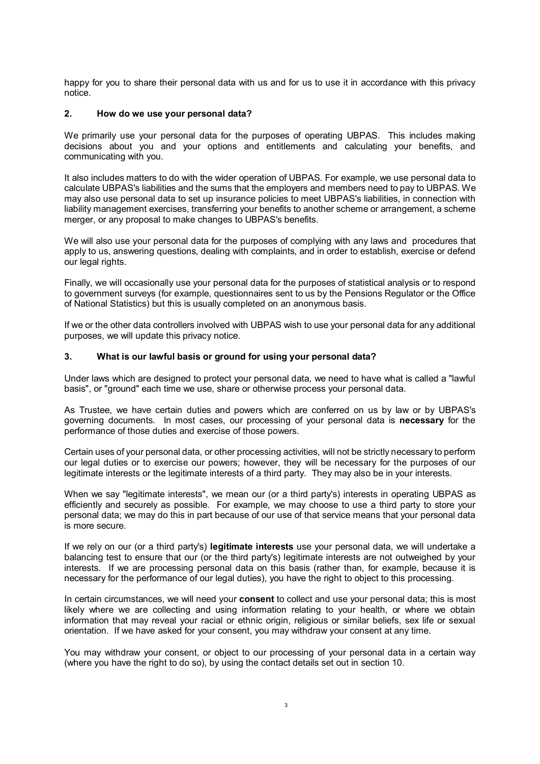happy for you to share their personal data with us and for us to use it in accordance with this privacy notice.

### **2. How do we use your personal data?**

We primarily use your personal data for the purposes of operating UBPAS. This includes making decisions about you and your options and entitlements and calculating your benefits, and communicating with you.

It also includes matters to do with the wider operation of UBPAS. For example, we use personal data to calculate UBPAS's liabilities and the sums that the employers and members need to pay to UBPAS. We may also use personal data to set up insurance policies to meet UBPAS's liabilities, in connection with liability management exercises, transferring your benefits to another scheme or arrangement, a scheme merger, or any proposal to make changes to UBPAS's benefits.

We will also use your personal data for the purposes of complying with any laws and procedures that apply to us, answering questions, dealing with complaints, and in order to establish, exercise or defend our legal rights.

Finally, we will occasionally use your personal data for the purposes of statistical analysis or to respond to government surveys (for example, questionnaires sent to us by the Pensions Regulator or the Office of National Statistics) but this is usually completed on an anonymous basis.

If we or the other data controllers involved with UBPAS wish to use your personal data for any additional purposes, we will update this privacy notice.

### **3. What is our lawful basis or ground for using your personal data?**

Under laws which are designed to protect your personal data, we need to have what is called a "lawful basis", or "ground" each time we use, share or otherwise process your personal data.

As Trustee, we have certain duties and powers which are conferred on us by law or by UBPAS's governing documents. In most cases, our processing of your personal data is **necessary** for the performance of those duties and exercise of those powers.

Certain uses of your personal data, or other processing activities, will not be strictly necessary to perform our legal duties or to exercise our powers; however, they will be necessary for the purposes of our legitimate interests or the legitimate interests of a third party. They may also be in your interests.

When we say "legitimate interests", we mean our (or a third party's) interests in operating UBPAS as efficiently and securely as possible. For example, we may choose to use a third party to store your personal data; we may do this in part because of our use of that service means that your personal data is more secure.

If we rely on our (or a third party's) **legitimate interests** use your personal data, we will undertake a balancing test to ensure that our (or the third party's) legitimate interests are not outweighed by your interests. If we are processing personal data on this basis (rather than, for example, because it is necessary for the performance of our legal duties), you have the right to object to this processing.

In certain circumstances, we will need your **consent** to collect and use your personal data; this is most likely where we are collecting and using information relating to your health, or where we obtain information that may reveal your racial or ethnic origin, religious or similar beliefs, sex life or sexual orientation. If we have asked for your consent, you may withdraw your consent at any time.

You may withdraw your consent, or object to our processing of your personal data in a certain way (where you have the right to do so), by using the contact details set out in section 10.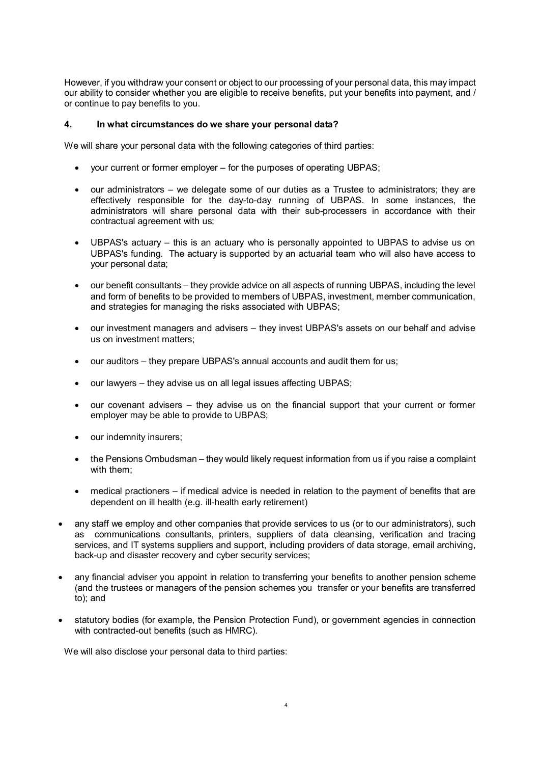However, if you withdraw your consent or object to our processing of your personal data, this may impact our ability to consider whether you are eligible to receive benefits, put your benefits into payment, and / or continue to pay benefits to you.

### **4. In what circumstances do we share your personal data?**

We will share your personal data with the following categories of third parties:

- your current or former employer for the purposes of operating UBPAS;
- our administrators we delegate some of our duties as a Trustee to administrators; they are effectively responsible for the day-to-day running of UBPAS. In some instances, the administrators will share personal data with their sub-processers in accordance with their contractual agreement with us;
- UBPAS's actuary this is an actuary who is personally appointed to UBPAS to advise us on UBPAS's funding. The actuary is supported by an actuarial team who will also have access to your personal data;
- our benefit consultants they provide advice on all aspects of running UBPAS, including the level and form of benefits to be provided to members of UBPAS, investment, member communication, and strategies for managing the risks associated with UBPAS;
- our investment managers and advisers they invest UBPAS's assets on our behalf and advise us on investment matters;
- our auditors they prepare UBPAS's annual accounts and audit them for us;
- our lawyers they advise us on all legal issues affecting UBPAS;
- our covenant advisers they advise us on the financial support that your current or former employer may be able to provide to UBPAS;
- our indemnity insurers;
- the Pensions Ombudsman they would likely request information from us if you raise a complaint with them;
- medical practioners if medical advice is needed in relation to the payment of benefits that are dependent on ill health (e.g. ill-health early retirement)
- any staff we employ and other companies that provide services to us (or to our administrators), such as communications consultants, printers, suppliers of data cleansing, verification and tracing services, and IT systems suppliers and support, including providers of data storage, email archiving, back-up and disaster recovery and cyber security services;
- any financial adviser you appoint in relation to transferring your benefits to another pension scheme (and the trustees or managers of the pension schemes you transfer or your benefits are transferred to); and
- statutory bodies (for example, the Pension Protection Fund), or government agencies in connection with contracted-out benefits (such as HMRC).

We will also disclose your personal data to third parties: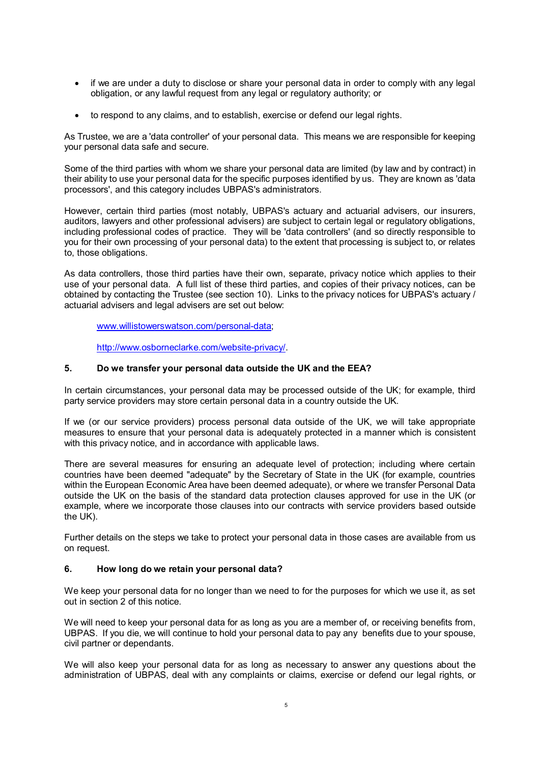- if we are under a duty to disclose or share your personal data in order to comply with any legal obligation, or any lawful request from any legal or regulatory authority; or
- to respond to any claims, and to establish, exercise or defend our legal rights.

As Trustee, we are a 'data controller' of your personal data. This means we are responsible for keeping your personal data safe and secure.

Some of the third parties with whom we share your personal data are limited (by law and by contract) in their ability to use your personal data for the specific purposes identified by us. They are known as 'data processors', and this category includes UBPAS's administrators.

However, certain third parties (most notably, UBPAS's actuary and actuarial advisers, our insurers, auditors, lawyers and other professional advisers) are subject to certain legal or regulatory obligations, including professional codes of practice. They will be 'data controllers' (and so directly responsible to you for their own processing of your personal data) to the extent that processing is subject to, or relates to, those obligations.

As data controllers, those third parties have their own, separate, privacy notice which applies to their use of your personal data. A full list of these third parties, and copies of their privacy notices, can be obtained by contacting the Trustee (see section 10). Links to the privacy notices for UBPAS's actuary / actuarial advisers and legal advisers are set out below:

[www.willistowerswatson.com/personal-data;](http://www.willistowerswatson.com/personal-data)

[http://www.osborneclarke.com/website-privacy/.](http://www.osborneclarke.com/website-privacy/) 

### **5. Do we transfer your personal data outside the UK and the EEA?**

In certain circumstances, your personal data may be processed outside of the UK; for example, third party service providers may store certain personal data in a country outside the UK.

If we (or our service providers) process personal data outside of the UK, we will take appropriate measures to ensure that your personal data is adequately protected in a manner which is consistent with this privacy notice, and in accordance with applicable laws.

There are several measures for ensuring an adequate level of protection; including where certain countries have been deemed "adequate" by the Secretary of State in the UK (for example, countries within the European Economic Area have been deemed adequate), or where we transfer Personal Data outside the UK on the basis of the standard data protection clauses approved for use in the UK (or example, where we incorporate those clauses into our contracts with service providers based outside the UK).

Further details on the steps we take to protect your personal data in those cases are available from us on request.

#### **6. How long do we retain your personal data?**

We keep your personal data for no longer than we need to for the purposes for which we use it, as set out in section 2 of this notice.

We will need to keep your personal data for as long as you are a member of, or receiving benefits from, UBPAS. If you die, we will continue to hold your personal data to pay any benefits due to your spouse, civil partner or dependants.

We will also keep your personal data for as long as necessary to answer any questions about the administration of UBPAS, deal with any complaints or claims, exercise or defend our legal rights, or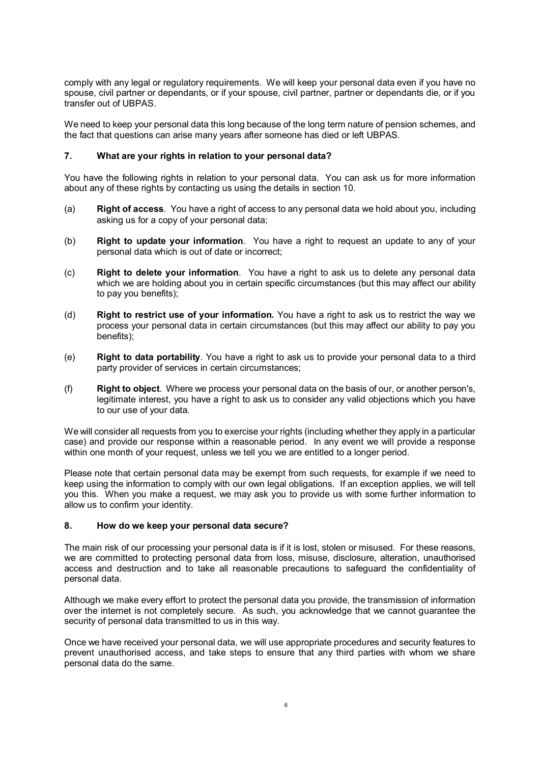comply with any legal or regulatory requirements. We will keep your personal data even if you have no spouse, civil partner or dependants, or if your spouse, civil partner, partner or dependants die, or if you transfer out of UBPAS.

We need to keep your personal data this long because of the long term nature of pension schemes, and the fact that questions can arise many years after someone has died or left UBPAS.

### **7. What are your rights in relation to your personal data?**

You have the following rights in relation to your personal data. You can ask us for more information about any of these rights by contacting us using the details in section 10.

- (a) **Right of access**. You have a right of access to any personal data we hold about you, including asking us for a copy of your personal data;
- (b) **Right to update your information**. You have a right to request an update to any of your personal data which is out of date or incorrect;
- (c) **Right to delete your information**. You have a right to ask us to delete any personal data which we are holding about you in certain specific circumstances (but this may affect our ability to pay you benefits);
- (d) **Right to restrict use of your information.** You have a right to ask us to restrict the way we process your personal data in certain circumstances (but this may affect our ability to pay you benefits);
- (e) **Right to data portability**. You have a right to ask us to provide your personal data to a third party provider of services in certain circumstances;
- (f) **Right to object**. Where we process your personal data on the basis of our, or another person's, legitimate interest, you have a right to ask us to consider any valid objections which you have to our use of your data.

We will consider all requests from you to exercise your rights (including whether they apply in a particular case) and provide our response within a reasonable period. In any event we will provide a response within one month of your request, unless we tell you we are entitled to a longer period.

Please note that certain personal data may be exempt from such requests, for example if we need to keep using the information to comply with our own legal obligations. If an exception applies, we will tell you this. When you make a request, we may ask you to provide us with some further information to allow us to confirm your identity.

#### **8. How do we keep your personal data secure?**

The main risk of our processing your personal data is if it is lost, stolen or misused. For these reasons, we are committed to protecting personal data from loss, misuse, disclosure, alteration, unauthorised access and destruction and to take all reasonable precautions to safeguard the confidentiality of personal data.

Although we make every effort to protect the personal data you provide, the transmission of information over the internet is not completely secure. As such, you acknowledge that we cannot guarantee the security of personal data transmitted to us in this way.

Once we have received your personal data, we will use appropriate procedures and security features to prevent unauthorised access, and take steps to ensure that any third parties with whom we share personal data do the same.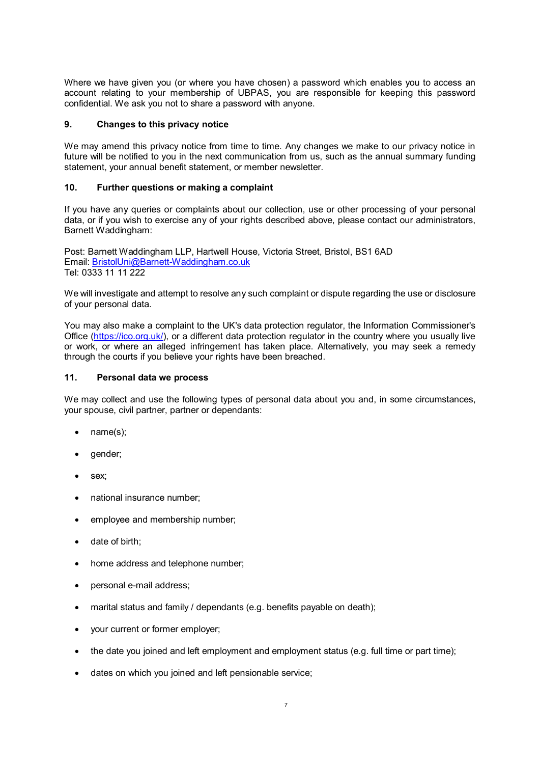Where we have given you (or where you have chosen) a password which enables you to access an account relating to your membership of UBPAS, you are responsible for keeping this password confidential. We ask you not to share a password with anyone.

## **9. Changes to this privacy notice**

We may amend this privacy notice from time to time. Any changes we make to our privacy notice in future will be notified to you in the next communication from us, such as the annual summary funding statement, your annual benefit statement, or member newsletter.

# **10. Further questions or making a complaint**

If you have any queries or complaints about our collection, use or other processing of your personal data, or if you wish to exercise any of your rights described above, please contact our administrators, Barnett Waddingham:

Post: Barnett Waddingham LLP, Hartwell House, Victoria Street, Bristol, BS1 6AD Email: [BristolU](mailto:payroll-pensions@bristol.ac.uk)ni@Barnett-Waddingham.co.uk Tel: 0333 11 11 222

We will investigate and attempt to resolve any such complaint or dispute regarding the use or disclosure of your personal data.

You may also make a complaint to the UK's data protection regulator, the Information Commissioner's Office [\(https://ico.org.uk/\)](https://ico.org.uk/), or a different data protection regulator in the country where you usually live or work, or where an alleged infringement has taken place. Alternatively, you may seek a remedy through the courts if you believe your rights have been breached.

## **11. Personal data we process**

We may collect and use the following types of personal data about you and, in some circumstances, your spouse, civil partner, partner or dependants:

- name(s);
- gender;
- sex:
- national insurance number;
- employee and membership number;
- date of birth;
- home address and telephone number;
- personal e-mail address;
- marital status and family / dependants (e.g. benefits payable on death);
- your current or former employer;
- the date you joined and left employment and employment status (e.g. full time or part time);
- dates on which you joined and left pensionable service;